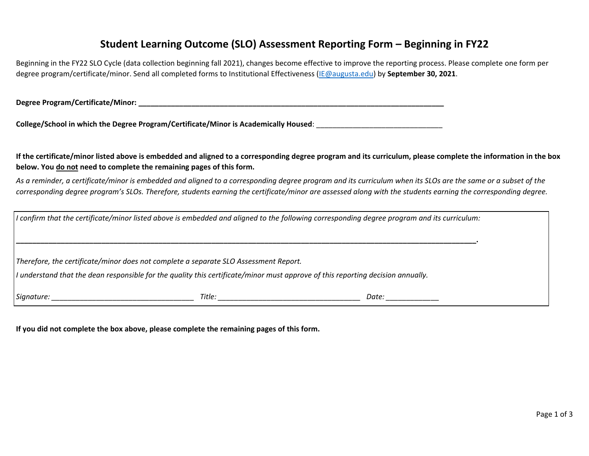## **Student Learning Outcome (SLO) Assessment Reporting Form – Beginning in FY22**

Beginning in the FY22 SLO Cycle (data collection beginning fall 2021), changes become effective to improve the reporting process. Please complete one form per degree program/certificate/minor. Send all completed forms to Institutional Effectiveness [\(IE@augusta.edu\)](mailto:IE@augusta.edu) by **September 30, 2021**.

**Degree Program/Certificate/Minor: \_\_\_\_\_\_\_\_\_\_\_\_\_\_\_\_\_\_\_\_\_\_\_\_\_\_\_\_\_\_\_\_\_\_\_\_\_\_\_\_\_\_\_\_\_\_\_\_\_\_\_\_\_\_\_\_\_\_\_\_\_\_\_\_\_\_\_\_\_\_\_\_\_\_\_**

**College/School in which the Degree Program/Certificate/Minor is Academically Housed**: \_\_\_\_\_\_\_\_\_\_\_\_\_\_\_\_\_\_\_\_\_\_\_\_\_\_\_\_\_\_\_

**If the certificate/minor listed above is embedded and aligned to a corresponding degree program and its curriculum, please complete the information in the box below. You do not need to complete the remaining pages of this form.** 

*As a reminder, a certificate/minor is embedded and aligned to a corresponding degree program and its curriculum when its SLOs are the same or a subset of the corresponding degree program's SLOs. Therefore, students earning the certificate/minor are assessed along with the students earning the corresponding degree.* 

| If confirm that the certificate/minor listed above is embedded and aligned to the following corresponding degree program and its curriculum: |        |       |  |  |  |  |  |  |
|----------------------------------------------------------------------------------------------------------------------------------------------|--------|-------|--|--|--|--|--|--|
|                                                                                                                                              |        |       |  |  |  |  |  |  |
|                                                                                                                                              |        |       |  |  |  |  |  |  |
| Therefore, the certificate/minor does not complete a separate SLO Assessment Report.                                                         |        |       |  |  |  |  |  |  |
| If understand that the dean responsible for the quality this certificate/minor must approve of this reporting decision annually.             |        |       |  |  |  |  |  |  |
|                                                                                                                                              |        |       |  |  |  |  |  |  |
| Signature:                                                                                                                                   | Title: | Date: |  |  |  |  |  |  |

**If you did not complete the box above, please complete the remaining pages of this form.**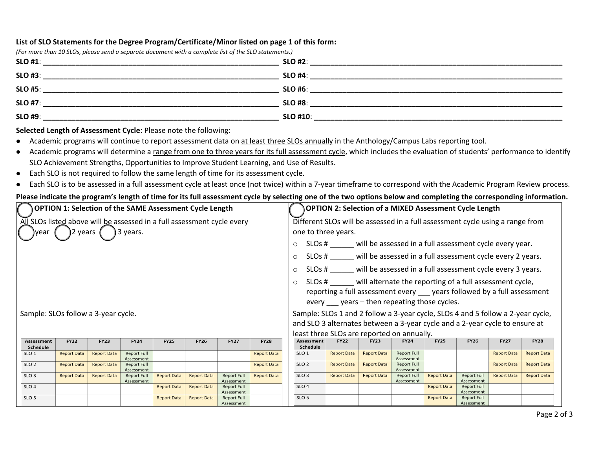## **List of SLO Statements for the Degree Program/Certificate/Minor listed on page 1 of this form:**

| (For more than 10 SLOs, please send a separate document with a complete list of the SLO statements.)                                    |                 |  |
|-----------------------------------------------------------------------------------------------------------------------------------------|-----------------|--|
| $SLO$ #1:                                                                                                                               | $SLO$ #2:       |  |
| <b>SLO #3:</b><br><u> 1989 - Johann John Stein, markin film yn y brening yn y brening yn y brening yn y brening yn y brening yn y b</u> | $SLO$ #4:       |  |
| <b>SLO #5:</b>                                                                                                                          | $SLO$ #6:       |  |
| <b>SLO #7:</b>                                                                                                                          | <b>SLO #8:</b>  |  |
| <b>SLO #9:</b>                                                                                                                          | <b>SLO #10:</b> |  |

**Selected Length of Assessment Cycle**: Please note the following:

- Academic programs will continue to report assessment data on at least three SLOs annually in the Anthology/Campus Labs reporting tool.
- Academic programs will determine a range from one to three years for its full assessment cycle, which includes the evaluation of students' performance to identify SLO Achievement Strengths, Opportunities to Improve Student Learning, and Use of Results.
- Each SLO is not required to follow the same length of time for its assessment cycle.
- Each SLO is to be assessed in a full assessment cycle at least once (not twice) within a 7-year timeframe to correspond with the Academic Program Review process.

## **Please indicate the program's length of time for its full assessment cycle by selecting one of the two options below and completing the corresponding information.**

| <b>OPTION 1: Selection of the SAME Assessment Cycle Length</b>                                           |                    |                    |                                  |                    |                                                                                                      | OPTION 2: Selection of a MIXED Assessment Cycle Length                                                                                                                                                                                                                                                                                                                   |                                                                              |                               |                    |                    |                                  |                                  |                                  |                    |                    |
|----------------------------------------------------------------------------------------------------------|--------------------|--------------------|----------------------------------|--------------------|------------------------------------------------------------------------------------------------------|--------------------------------------------------------------------------------------------------------------------------------------------------------------------------------------------------------------------------------------------------------------------------------------------------------------------------------------------------------------------------|------------------------------------------------------------------------------|-------------------------------|--------------------|--------------------|----------------------------------|----------------------------------|----------------------------------|--------------------|--------------------|
| All SLOs listed above will be assessed in a full assessment cycle every<br>3 years.<br>2 years (<br>vear |                    |                    |                                  |                    | Different SLOs will be assessed in a full assessment cycle using a range from<br>one to three years. |                                                                                                                                                                                                                                                                                                                                                                          |                                                                              |                               |                    |                    |                                  |                                  |                                  |                    |                    |
|                                                                                                          |                    |                    |                                  |                    |                                                                                                      |                                                                                                                                                                                                                                                                                                                                                                          | SLOs # will be assessed in a full assessment cycle every year.<br>$\circ$    |                               |                    |                    |                                  |                                  |                                  |                    |                    |
|                                                                                                          |                    |                    |                                  |                    |                                                                                                      |                                                                                                                                                                                                                                                                                                                                                                          | SLOs # will be assessed in a full assessment cycle every 2 years.<br>$\circ$ |                               |                    |                    |                                  |                                  |                                  |                    |                    |
|                                                                                                          |                    |                    |                                  |                    |                                                                                                      | SLOs # ______ will be assessed in a full assessment cycle every 3 years.<br>$\circ$                                                                                                                                                                                                                                                                                      |                                                                              |                               |                    |                    |                                  |                                  |                                  |                    |                    |
| Sample: SLOs follow a 3-year cycle.                                                                      |                    |                    |                                  |                    |                                                                                                      | SLOs # will alternate the reporting of a full assessment cycle,<br>$\circ$<br>reporting a full assessment every ____ years followed by a full assessment<br>every years – then repeating those cycles.<br>Sample: SLOs 1 and 2 follow a 3-year cycle, SLOs 4 and 5 follow a 2-year cycle,<br>and SLO 3 alternates between a 3-year cycle and a 2-year cycle to ensure at |                                                                              |                               |                    |                    |                                  |                                  |                                  |                    |                    |
|                                                                                                          |                    |                    |                                  |                    |                                                                                                      | least three SLOs are reported on annually.                                                                                                                                                                                                                                                                                                                               |                                                                              |                               |                    |                    |                                  |                                  |                                  |                    |                    |
| <b>Assessment</b><br>Schedule                                                                            | <b>FY22</b>        | <b>FY23</b>        | <b>FY24</b>                      | <b>FY25</b>        | <b>FY26</b>                                                                                          | <b>FY27</b>                                                                                                                                                                                                                                                                                                                                                              | <b>FY28</b>                                                                  | <b>Assessment</b><br>Schedule | <b>FY22</b>        | <b>FY23</b>        | <b>FY24</b>                      | <b>FY25</b>                      | <b>FY26</b>                      | <b>FY27</b>        | <b>FY28</b>        |
| SLO <sub>1</sub>                                                                                         | <b>Report Data</b> | <b>Report Data</b> | <b>Report Full</b><br>Assessment |                    |                                                                                                      |                                                                                                                                                                                                                                                                                                                                                                          | <b>Report Data</b>                                                           | SLO <sub>1</sub>              | <b>Report Data</b> | <b>Report Data</b> | <b>Report Full</b><br>Assessment |                                  |                                  | <b>Report Data</b> | <b>Report Data</b> |
| SLO <sub>2</sub>                                                                                         | <b>Report Data</b> | <b>Report Data</b> | <b>Report Full</b><br>Assessment |                    |                                                                                                      |                                                                                                                                                                                                                                                                                                                                                                          | <b>Report Data</b>                                                           | SLO <sub>2</sub>              | <b>Report Data</b> | <b>Report Data</b> | <b>Report Full</b><br>Assessment |                                  |                                  | <b>Report Data</b> | <b>Report Data</b> |
| SLO <sub>3</sub>                                                                                         | <b>Report Data</b> | <b>Report Data</b> | <b>Report Full</b><br>Assessment | <b>Report Data</b> | <b>Report Data</b>                                                                                   | <b>Report Full</b><br>Assessment                                                                                                                                                                                                                                                                                                                                         | <b>Report Data</b>                                                           | SLO <sub>3</sub>              | <b>Report Data</b> | <b>Report Data</b> | <b>Report Full</b><br>Assessment | <b>Report Data</b>               | <b>Report Full</b><br>Assessment | <b>Report Data</b> | <b>Report Data</b> |
| SLO <sub>4</sub>                                                                                         |                    |                    |                                  | <b>Report Data</b> | <b>Report Data</b>                                                                                   | <b>Report Full</b><br>Assessment                                                                                                                                                                                                                                                                                                                                         |                                                                              | SLO <sub>4</sub>              |                    |                    |                                  | <b>Report Data</b>               | <b>Report Full</b><br>Assessment |                    |                    |
| SLO <sub>5</sub><br><b>Report Data</b><br><b>Report Data</b><br><b>Report Full</b><br>Assessment         |                    |                    |                                  |                    |                                                                                                      |                                                                                                                                                                                                                                                                                                                                                                          | SLO <sub>5</sub>                                                             |                               |                    |                    | <b>Report Data</b>               | <b>Report Full</b><br>Assessment |                                  |                    |                    |